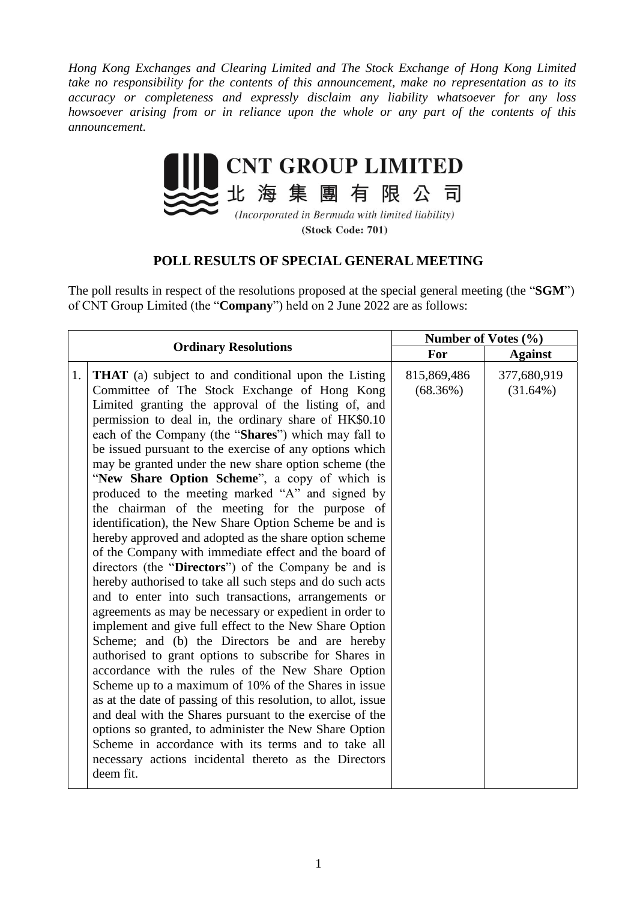*Hong Kong Exchanges and Clearing Limited and The Stock Exchange of Hong Kong Limited take no responsibility for the contents of this announcement, make no representation as to its accuracy or completeness and expressly disclaim any liability whatsoever for any loss howsoever arising from or in reliance upon the whole or any part of the contents of this announcement.*



(Incorporated in Bermuda with limited liability) (Stock Code: 701)

## **POLL RESULTS OF SPECIAL GENERAL MEETING**

The poll results in respect of the resolutions proposed at the special general meeting (the "**SGM**") of CNT Group Limited (the "**Company**") held on 2 June 2022 are as follows:

| <b>Ordinary Resolutions</b>                                                                                                                                                                                                                                                                                                                                                                                                                                                                                                                                                                                                                                                                                                                                                                                                                                                                                                                                                                                                                                                                                                                                                                                                                                                                                                                                                                                                                                                                                                                                                                         |  | Number of Votes (%)     |                            |
|-----------------------------------------------------------------------------------------------------------------------------------------------------------------------------------------------------------------------------------------------------------------------------------------------------------------------------------------------------------------------------------------------------------------------------------------------------------------------------------------------------------------------------------------------------------------------------------------------------------------------------------------------------------------------------------------------------------------------------------------------------------------------------------------------------------------------------------------------------------------------------------------------------------------------------------------------------------------------------------------------------------------------------------------------------------------------------------------------------------------------------------------------------------------------------------------------------------------------------------------------------------------------------------------------------------------------------------------------------------------------------------------------------------------------------------------------------------------------------------------------------------------------------------------------------------------------------------------------------|--|-------------------------|----------------------------|
|                                                                                                                                                                                                                                                                                                                                                                                                                                                                                                                                                                                                                                                                                                                                                                                                                                                                                                                                                                                                                                                                                                                                                                                                                                                                                                                                                                                                                                                                                                                                                                                                     |  | For                     | <b>Against</b>             |
| 1.1<br><b>THAT</b> (a) subject to and conditional upon the Listing<br>Committee of The Stock Exchange of Hong Kong<br>Limited granting the approval of the listing of, and<br>permission to deal in, the ordinary share of HK\$0.10<br>each of the Company (the "Shares") which may fall to<br>be issued pursuant to the exercise of any options which<br>may be granted under the new share option scheme (the<br>"New Share Option Scheme", a copy of which is<br>produced to the meeting marked "A" and signed by<br>the chairman of the meeting for the purpose of<br>identification), the New Share Option Scheme be and is<br>hereby approved and adopted as the share option scheme<br>of the Company with immediate effect and the board of<br>directors (the "Directors") of the Company be and is<br>hereby authorised to take all such steps and do such acts<br>and to enter into such transactions, arrangements or<br>agreements as may be necessary or expedient in order to<br>implement and give full effect to the New Share Option<br>Scheme; and (b) the Directors be and are hereby<br>authorised to grant options to subscribe for Shares in<br>accordance with the rules of the New Share Option<br>Scheme up to a maximum of 10% of the Shares in issue<br>as at the date of passing of this resolution, to allot, issue<br>and deal with the Shares pursuant to the exercise of the<br>options so granted, to administer the New Share Option<br>Scheme in accordance with its terms and to take all<br>necessary actions incidental thereto as the Directors<br>deem fit. |  | 815,869,486<br>(68.36%) | 377,680,919<br>$(31.64\%)$ |